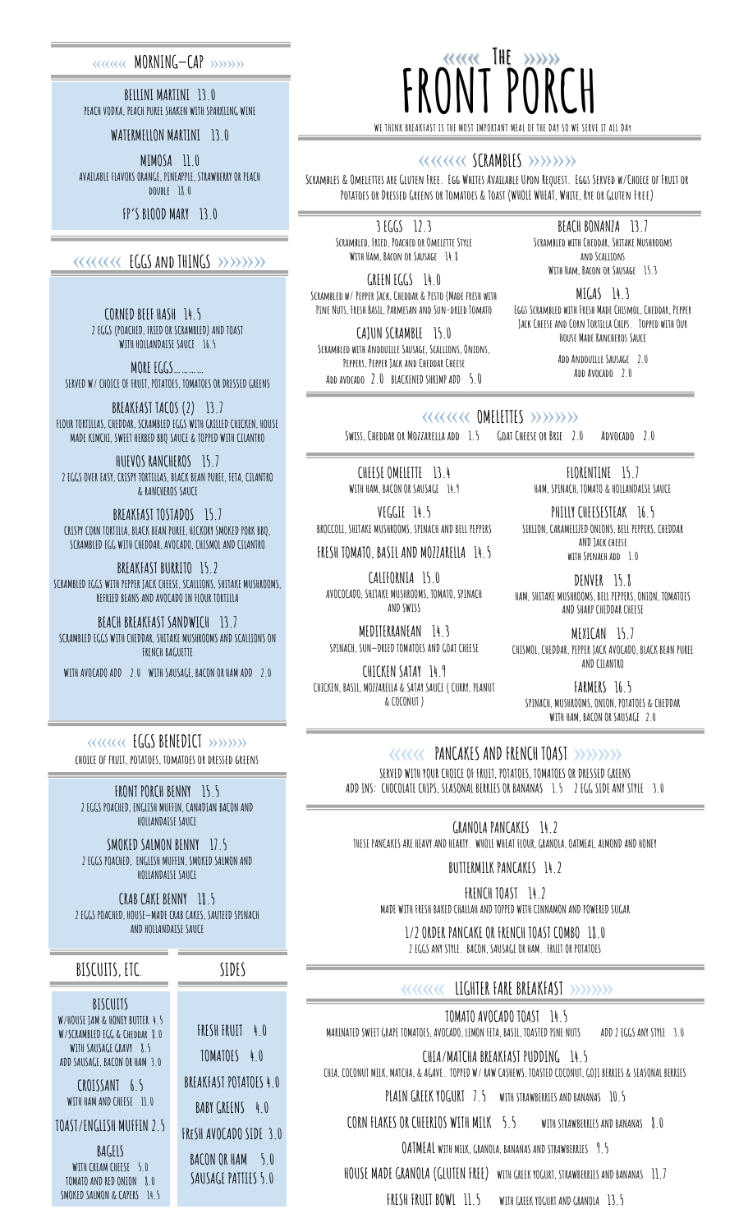### «««« **MORNING—CAP** »»»»

**BELLINI MARTINI 13.0 PEACH VODKA, PEACH PUREE SHAKEN WITH SPARKLING WINE**

**WATERMELLON MARTINI 13.0**

**MIMOSA 11.0 AVAILABLE FLAVORS ORANGE, PINEAPPLE, STRAWBERRY OR PEACH double 18.0**

**FP'S BLOOD MARY 13.0**

## «««« **EGGS and THINGS** »»»»

**CORNED BEEF HASH 14.5 2 EGGS (POACHED, FRIED OR SCRAMBLED) AND TOAST WITH HOLLANDAISE SAUCE 16.5**

**MORE EGGS………… SERVED W/ CHOICE OF FRUIT, POTATOES, TOMATOES OR DRESSED GREENS**

**BREAKFAST TACOS (2) 13.7 FLOUR TORTILLAS, CHEDDAR, SCRAMBLED EGGS WITH GRILLED CHICKEN, HOUSE MADE KIMCHI, SWEET HERBED BBQ SAUCE & TOPPED WITH CILANTRO**

**HUEVOS RANCHEROS 15.7 2 EGGS OVER EASY, CRISPY TORTILLAS, BLACK BEAN PUREE, FETA, CILANTRO & RANCHEROS SAUCE**

**BREAKFAST TOSTADOS 15.7 CRISPY CORN TORTILLA, BLACK BEAN PUREE, HICKORY SMOKED PORK BBQ, SCRAMBLED EGG WITH CHEDDAR, AVOCADO, CHISMOL AND CILANTRO**

**BREAKFAST BURRITO 15.2 SCRAMBLED EGGS WITH PEPPER JACK CHEESE, SCALLIONS, SHITAKE MUSHROOMS, REFRIED BEANS AND AVOCADO IN FLOUR TORTILLA**

**BEACH BREAKFAST SANDWICH 13.7 SCRAMBLED EGGS WITH CHEDDAR, SHITAKE MUSHROOMS AND SCALLIONS ON FRENCH BAGUETTE** 

**WITH AVOCADO ADD 2.0 WITH SAUSAGE, BACON OR HAM ADD 2.0**

«««« **EGGS BENEDICT** »»»» **choice of fruit, potatoes, tomatoes or dressed greens**

**FRONT PORCH BENNY 15.5 2 EGGS POACHED, ENGLISH MUFFIN, CANADIAN BACON AND HOLLANDAISE SAUCE** 

**SMOKED SALMON BENNY 17.5 2 EGGS POACHED, ENGLISH MUFFIN, SMOKED SALMON AND HOLLANDAISE SAUCE** 

**CRAB CAKE BENNY 18.5 2 EGGS POACHED, HOUSE—MADE CRAB CAKES, SAUTEED SPINACH AND HOLLANDAISE SAUCE**

**BISCUITS, ETC**.

**BISCUITS W/HOUSE JAM & HONEY BUTTER 4.5 W/SCRAMBLED EGG & Cheddar 8.0**  WITH SAUSAGE GRAVY 8.5 **ADD SAUSAGE, BACON OR HAM 3.0**

**CROISSANT 6.5 WITH HAM AND CHEESE 11.0**

**TOAST/ENGLISH MUFFIN 2.5** 

**BAGELS WITH CREAM CHEESE 5.0 TOMATO AND RED ONION 8.0 SMOKED SALMON & CAPERS 14.5**

 ««« **The** »»» **FRONT PORCH WE THINK BREAKFAST IS THE MOST IMPORTANT MEAL OF THE DAY SO WE SERVE IT ALL DAy** 

#### «««« **SCRAMBLES** »»»»

**Scrambles & Omelettes are Gluten Free. Egg Whites Available Upon Request. Eggs Served w/Choice of Fruit or Potatoes or Dressed Greens or Tomatoes & Toast (WHOLE WHEAT, White, Rye or Gluten Free)**

**3 EGGS 12.3 Scrambled, Fried, Poached or Omelette Style With Ham, Bacon or Sausage 14.8**

**GREEN EGGS 14.0 Scrambled w/ Pepper Jack, Cheddar & Pesto (Made fresh with Pine Nuts, Fresh Basil, Parmesan and Sun-dried Tomato** 

**CAJUN SCRAMBLE 15.0 Scrambled with Andouille Sausage, Scallions, Onions, Peppers, Pepper Jack and Cheddar Cheese Add avocado 2.0 BLACKENED SHRIMP ADD 5.0** 

**BEACH BONANZA 13.7 Scrambled with Cheddar, Shitake Mushrooms and Scallions With Ham, Bacon or Sausage 15.3**

**MIGAS 14.3 Eggs Scrambled with Fresh Made Chismol, Cheddar, Pepper Jack Cheese and Corn Tortilla Chips. Topped with Our House Made Rancheros Sauce**

> **Add Andouille Sausage 2.0 Add Avocado 2.0**

### «««« **OMELETTES** »»»»

**Swiss, Cheddar or Mozzarella add 1.5 Goat Cheese or Brie 2.0 Advocado 2.0** 

**CHEESE OMELETTE 13.4 WITH HAM, BACON OR SAUSAGE 14.9 VEGGIE 14.5 BROCCOLI, SHITAKE MUSHROOMS, SPINACH AND BELL PEPPERS FRESH TOMATO, BASIL AND MOZZARELLA 14.5**

**CALIFORNIA 15.0 AVOCOCADO, SHITAKE MUSHROOMS, TOMATO, SPINACH AND SWISS MEDITERRANEAN 14.3 SPINACH, SUN—DRIED TOMATOES AND GOAT CHEESE CHICKEN SATAY 14.9 CHICKEN, BASIL, MOZZARELLA & SATAY SAUCE ( CURRY, PEANUT & COCONUT )**

**FLORENTINE 15.7 HAM, SPINACH, TOMATO & HOLLANDAISE SAUCE**

**PHILLY CHEESESTEAK 16.5 SIRLION, CARAMELIZED ONIONS, BELL PEPPERS, CHEDDAR AND Jack cheese with Spinach add 1.0**

**DENVER 15.8 HAM, SHITAKE MUSHROOMS, BELL PEPPERS, ONION, TOMATOES AND SHARP CHEDDAR CHEESE**

**MEXICAN 15.7 CHISMOL, CHEDDAR, PEPPER JACK AVOCADO, BLACK BEAN PUREE AND CILANTRO**

**FARMERS 16.5 SPINACH, MUSHROOMS, ONION, POTATOES & CHEDDAR WITH HAM, BACON OR SAUSAGE 2.0**

««« **PANCAKES AND FRENCH TOAST** »»»» **SERVED WITH YOUR CHOICE OF FRUIT, POTATOES, TOMATOES OR DRESSED GREENS ADD INS: CHOCOLATE CHIPS, SEASONAL BERRIES OR BANANAS 1.5 2 EGG SIDE ANY STYLE 3.0**

**GRANOLA PANCAKES 14.2 THESE PANCAKES ARE HEAVY AND HEARTY. WHOLE WHEAT FLOUR, GRANOLA, OATMEAL, ALMOND AND HONEY**

**BUTTERMILK PANCAKES 14.2**

**FRENCH TOAST 14.2 MADE WITH FRESH BAKED CHALLAH AND TOPPED WITH CINNAMON AND POWERED SUGAR**

**1/2 ORDER PANCAKE OR FRENCH TOAST COMBO 18.0 2 EGGS ANY STYLE. BACON, SAUSAGE OR HAM. FRUIT OR POTATOES** 

## «««« **LIGHTER FARE BREAKFAST** »»»»

**TOMATO AVOCADO TOAST 14.5 MARINATED SWEET GRAPE TOMATOES, AVOCADO, LEMON FETA, BASIL, TOASTED PINE NUTS ADD 2 EGGS ANY STYLE 3.0**

**CHIA/MATCHA BREAKFAST PUDDING 14.5 CHIA, COCONUT MILK, MATCHA, & AGAVE. TOPPED W/ RAW CASHEWS, TOASTED COCONUT, GOJI BERRIES & SEASONAL BERRIES** 

**PLAIN GREEK YOGURT 7.5 WITH STRAWBERRIES AND BANANAS 10.5**

**CORN FLAKES OR CHEERIOS WITH MILK 5.5 WITH STRAWBERRIES AND BANANAS 8.0**

**OATMEAL WITH MILK, GRANOLA, BANANAS AND STRAWBERRIES 9.5** 

**HOUSE MADE GRANOLA (GLUTEN FREE) WITH GREEK YOGURT, STRAWBERRIES AND BANANAS 11.7**

**FRESH FRUIT BOWL 11.5 WITH GREEK YOGURT AND GRANOLA 13.5**

**SIDES**

**FRESH FRUIT 4.0 TOMATOES 4.0 BREAKFAST POTATOES 4.0** 

**BABY GREENS 4.0** 

**FReSH AVOCADO SIDE 3.0** 

**BACON OR HAM 5.0** 

**SAUSAGE PATTIES 5.0**